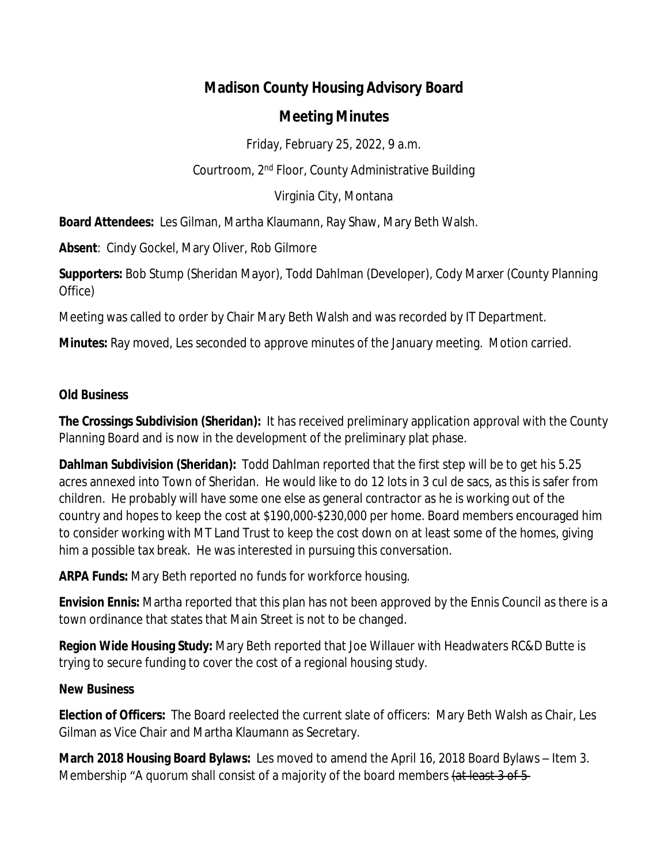# **Madison County Housing Advisory Board**

## **Meeting Minutes**

Friday, February 25, 2022, 9 a.m.

Courtroom, 2nd Floor, County Administrative Building

Virginia City, Montana

**Board Attendees:** Les Gilman, Martha Klaumann, Ray Shaw, Mary Beth Walsh.

**Absent**: Cindy Gockel, Mary Oliver, Rob Gilmore

**Supporters:** Bob Stump (Sheridan Mayor), Todd Dahlman (Developer), Cody Marxer (County Planning Office)

Meeting was called to order by Chair Mary Beth Walsh and was recorded by IT Department.

**Minutes:** Ray moved, Les seconded to approve minutes of the January meeting. Motion carried.

### **Old Business**

**The Crossings Subdivision (Sheridan):** It has received preliminary application approval with the County Planning Board and is now in the development of the preliminary plat phase.

**Dahlman Subdivision (Sheridan):** Todd Dahlman reported that the first step will be to get his 5.25 acres annexed into Town of Sheridan. He would like to do 12 lots in 3 cul de sacs, as this is safer from children. He probably will have some one else as general contractor as he is working out of the country and hopes to keep the cost at \$190,000-\$230,000 per home. Board members encouraged him to consider working with MT Land Trust to keep the cost down on at least some of the homes, giving him a possible tax break. He was interested in pursuing this conversation.

**ARPA Funds:** Mary Beth reported no funds for workforce housing.

**Envision Ennis:** Martha reported that this plan has not been approved by the Ennis Council as there is a town ordinance that states that Main Street is not to be changed.

**Region Wide Housing Study:** Mary Beth reported that Joe Willauer with Headwaters RC&D Butte is trying to secure funding to cover the cost of a regional housing study.

#### **New Business**

**Election of Officers:** The Board reelected the current slate of officers: Mary Beth Walsh as Chair, Les Gilman as Vice Chair and Martha Klaumann as Secretary.

**March 2018 Housing Board Bylaws:** Les moved to amend the April 16, 2018 Board Bylaws – Item 3. Membership "A quorum shall consist of a majority of the board members (at least 3 of 5